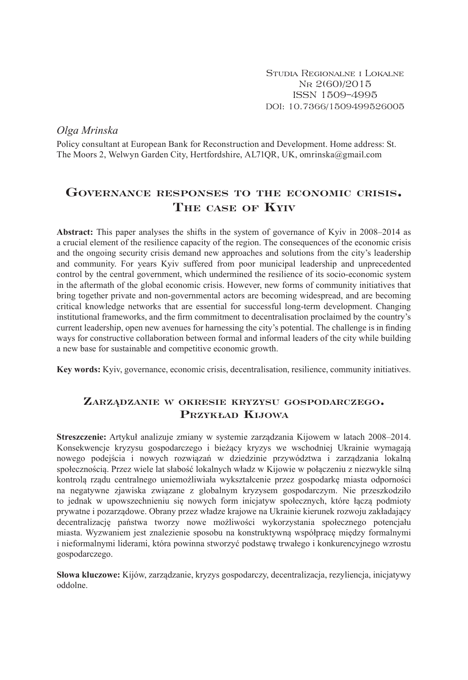Studia Regionalne i Lokalne Nr 2(60)/2015 ISSN 1509–4995 DOI: 10.7366/1509499526005

*Olga Mrinska*

Policy consultant at European Bank for Reconstruction and Development. Home address: St. The Moors 2, Welwyn Garden City, Hertfordshire, AL71QR, UK, omrinska@gmail.com

# **Governance responses to the economic crisis. The case of Kyiv**

**Abstract:** This paper analyses the shifts in the system of governance of Kyiv in 2008–2014 as a crucial element of the resilience capacity of the region. The consequences of the economic crisis and the ongoing security crisis demand new approaches and solutions from the city's leadership and community. For years Kyiv suffered from poor municipal leadership and unprecedented control by the central government, which undermined the resilience of its socio-economic system in the aftermath of the global economic crisis. However, new forms of community initiatives that bring together private and non-governmental actors are becoming widespread, and are becoming critical knowledge networks that are essential for successful long-term development. Changing institutional frameworks, and the firm commitment to decentralisation proclaimed by the country's current leadership, open new avenues for harnessing the city's potential. The challenge is in finding ways for constructive collaboration between formal and informal leaders of the city while building a new base for sustainable and competitive economic growth.

**Key words:** Kyiv, governance, economic crisis, decentralisation, resilience, community initiatives.

# **Zarządzanie <sup>w</sup> okresie kryzysu gospodarczego. Przykład Kijowa**

**Streszczenie:** Artykuł analizuje zmiany w systemie zarządzania Kijowem w latach 2008–2014. Konsekwencje kryzysu gospodarczego i bieżący kryzys we wschodniej Ukrainie wymagają nowego podejścia i nowych rozwiązań w dziedzinie przywództwa i zarządzania lokalną społecznością. Przez wiele lat słabość lokalnych władz w Kijowie w połączeniu z niezwykle silną kontrolą rządu centralnego uniemożliwiała wykształcenie przez gospodarkę miasta odporności na negatywne zjawiska związane z globalnym kryzysem gospodarczym. Nie przeszkodziło to jednak w upowszechnieniu się nowych form inicjatyw społecznych, które łączą podmioty prywatne i pozarządowe. Obrany przez władze krajowe na Ukrainie kierunek rozwoju zakładający decentralizację państwa tworzy nowe możliwości wykorzystania społecznego potencjału miasta. Wyzwaniem jest znalezienie sposobu na konstruktywną współpracę między formalnymi i nieformalnymi liderami, która powinna stworzyć podstawę trwałego i konkurencyjnego wzrostu gospodarczego.

**Słowa kluczowe:** Kijów, zarządzanie, kryzys gospodarczy, decentralizacja, rezyliencja, inicjatywy oddolne.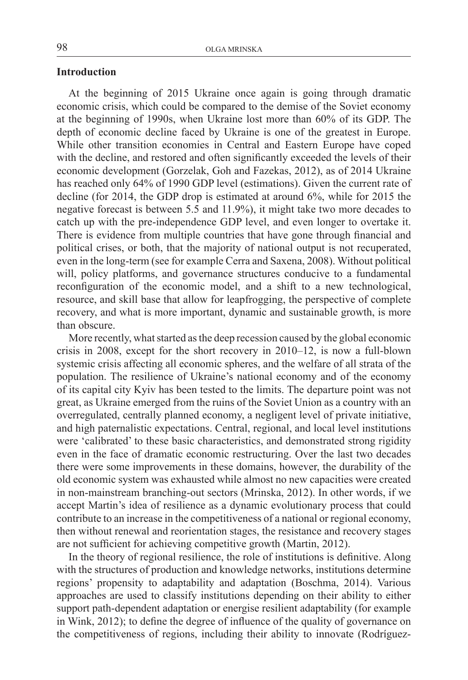# **Introduction**

At the beginning of 2015 Ukraine once again is going through dramatic economic crisis, which could be compared to the demise of the Soviet economy at the beginning of 1990s, when Ukraine lost more than 60% of its GDP. The depth of economic decline faced by Ukraine is one of the greatest in Europe. While other transition economies in Central and Eastern Europe have coped with the decline, and restored and often significantly exceeded the levels of their economic development (Gorzelak, Goh and Fazekas, 2012), as of 2014 Ukraine has reached only 64% of 1990 GDP level (estimations). Given the current rate of decline (for 2014, the GDP drop is estimated at around 6%, while for 2015 the negative forecast is between 5.5 and 11.9%), it might take two more decades to catch up with the pre-independence GDP level, and even longer to overtake it. There is evidence from multiple countries that have gone through financial and political crises, or both, that the majority of national output is not recuperated, even in the long-term (see for example Cerra and Saxena, 2008). Without political will, policy platforms, and governance structures conducive to a fundamental reconfiguration of the economic model, and a shift to a new technological, resource, and skill base that allow for leapfrogging, the perspective of complete recovery, and what is more important, dynamic and sustainable growth, is more than obscure.

More recently, what started as the deep recession caused by the global economic crisis in 2008, except for the short recovery in 2010–12, is now a full-blown systemic crisis affecting all economic spheres, and the welfare of all strata of the population. The resilience of Ukraine's national economy and of the economy of its capital city Kyiv has been tested to the limits. The departure point was not great, as Ukraine emerged from the ruins of the Soviet Union as a country with an overregulated, centrally planned economy, a negligent level of private initiative, and high paternalistic expectations. Central, regional, and local level institutions were 'calibrated' to these basic characteristics, and demonstrated strong rigidity even in the face of dramatic economic restructuring. Over the last two decades there were some improvements in these domains, however, the durability of the old economic system was exhausted while almost no new capacities were created in non-mainstream branching-out sectors (Mrinska, 2012). In other words, if we accept Martin's idea of resilience as a dynamic evolutionary process that could contribute to an increase in the competitiveness of a national or regional economy, then without renewal and reorientation stages, the resistance and recovery stages are not sufficient for achieving competitive growth (Martin, 2012).

In the theory of regional resilience, the role of institutions is definitive. Along with the structures of production and knowledge networks, institutions determine regions' propensity to adaptability and adaptation (Boschma, 2014). Various approaches are used to classify institutions depending on their ability to either support path-dependent adaptation or energise resilient adaptability (for example in Wink, 2012); to define the degree of influence of the quality of governance on the competitiveness of regions, including their ability to innovate (Rodríguez-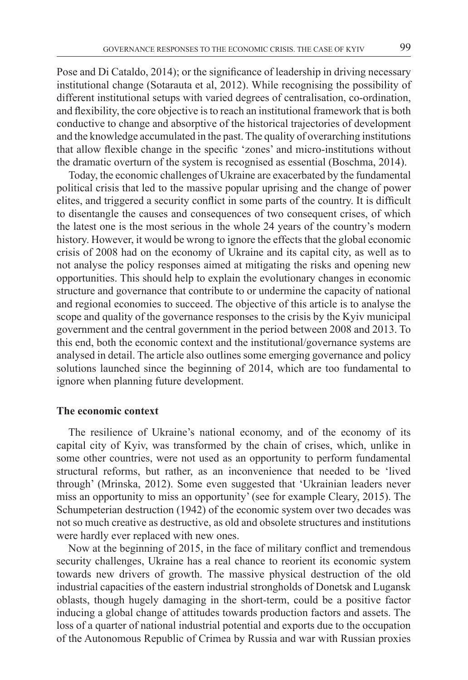Pose and Di Cataldo, 2014); or the significance of leadership in driving necessary institutional change (Sotarauta et al, 2012). While recognising the possibility of different institutional setups with varied degrees of centralisation, co-ordination, and flexibility, the core objective isto reach an institutional framework that is both conductive to change and absorptive of the historical trajectories of development and the knowledge accumulated in the past.The quality of overarching institutions that allow flexible change in the specific 'zones' and micro-institutions without the dramatic overturn of the system is recognised as essential (Boschma, 2014).

Today, the economic challenges of Ukraine are exacerbated by the fundamental political crisis that led to the massive popular uprising and the change of power elites, and triggered a security conflict in some parts of the country. It is difficult to disentangle the causes and consequences of two consequent crises, of which the latest one is the most serious in the whole 24 years of the country's modern history. However, it would be wrong to ignore the effects that the global economic crisis of 2008 had on the economy of Ukraine and its capital city, as well as to not analyse the policy responses aimed at mitigating the risks and opening new opportunities. This should help to explain the evolutionary changes in economic structure and governance that contribute to or undermine the capacity of national and regional economies to succeed. The objective of this article is to analyse the scope and quality of the governance responses to the crisis by the Kyiv municipal government and the central government in the period between 2008 and 2013. To this end, both the economic context and the institutional/governance systems are analysed in detail. The article also outlines some emerging governance and policy solutions launched since the beginning of 2014, which are too fundamental to ignore when planning future development.

#### **The economic context**

The resilience of Ukraine's national economy, and of the economy of its capital city of Kyiv, was transformed by the chain of crises, which, unlike in some other countries, were not used as an opportunity to perform fundamental structural reforms, but rather, as an inconvenience that needed to be 'lived through' (Mrinska, 2012). Some even suggested that 'Ukrainian leaders never miss an opportunity to miss an opportunity' (see for example Cleary, 2015). The Sсhumpeterian destruction (1942) of the economic system over two decades was not so much creative as destructive, as old and obsolete structures and institutions were hardly ever replaced with new ones.

Now at the beginning of 2015, in the face of military conflict and tremendous security challenges, Ukraine has a real chance to reorient its economic system towards new drivers of growth. The massive physical destruction of the old industrial capacities of the eastern industrial strongholds of Donetsk and Lugansk oblasts, though hugely damaging in the short-term, could be a positive factor inducing a global change of attitudes towards production factors and assets. The loss of a quarter of national industrial potential and exports due to the occupation of the Autonomous Republic of Crimea by Russia and war with Russian proxies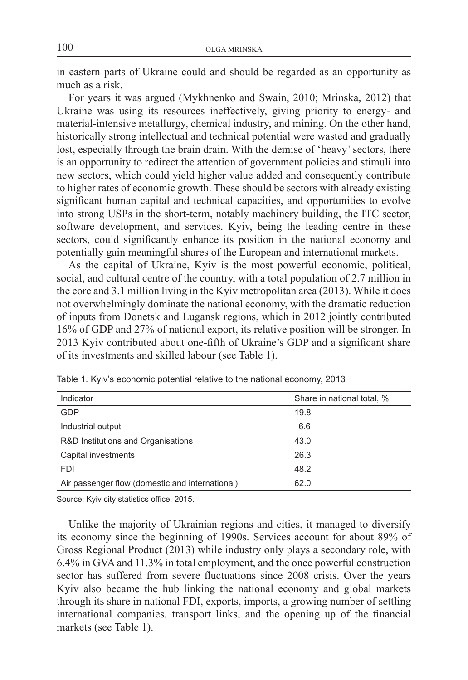in eastern parts of Ukraine could and should be regarded as an opportunity as much as a risk.

For years it was argued (Mykhnenko and Swain, 2010; Mrinska, 2012) that Ukraine was using its resources ineffectively, giving priority to energy- and material-intensive metallurgy, chemical industry, and mining. On the other hand, historically strong intellectual and technical potential were wasted and gradually lost, especially through the brain drain. With the demise of 'heavy' sectors, there is an opportunity to redirect the attention of government policies and stimuli into new sectors, which could yield higher value added and consequently contribute to higher rates of economic growth. These should be sectors with already existing significant human capital and technical capacities, and opportunities to evolve into strong USPs in the short-term, notably machinery building, the ITC sector, software development, and services. Kyiv, being the leading centre in these sectors, could significantly enhance its position in the national economy and potentially gain meaningful shares of the European and international markets.

As the capital of Ukraine, Kyiv is the most powerful economic, political, social, and cultural centre of the country, with a total population of 2.7 million in the core and 3.1 million living in the Kyiv metropolitan area (2013). While it does not overwhelmingly dominate the national economy, with the dramatic reduction of inputs from Donetsk and Lugansk regions, which in 2012 jointly contributed 16% of GDP and 27% of national export, its relative position will be stronger. In 2013 Kyiv contributed about one-fifth of Ukraine's GDP and a significant share of its investments and skilled labour (see Table 1).

| Indicator                                       | Share in national total, % |
|-------------------------------------------------|----------------------------|
| GDP                                             | 19.8                       |
| Industrial output                               | 6.6                        |
| R&D Institutions and Organisations              | 43.0                       |
| Capital investments                             | 26.3                       |
| <b>FDI</b>                                      | 48.2                       |
| Air passenger flow (domestic and international) | 62.0                       |

Table 1. Kyiv's economic potential relative to the national economy, 2013

Source: Kyiv city statistics office, 2015.

Unlike the majority of Ukrainian regions and cities, it managed to diversify its economy since the beginning of 1990s. Services account for about 89% of Gross Regional Product (2013) while industry only plays a secondary role, with 6.4% in GVA and 11.3% in total employment, and the once powerful construction sector has suffered from severe fluctuations since 2008 crisis. Over the years Kyiv also became the hub linking the national economy and global markets through its share in national FDI, exports, imports, a growing number of settling international companies, transport links, and the opening up of the financial markets (see Table 1).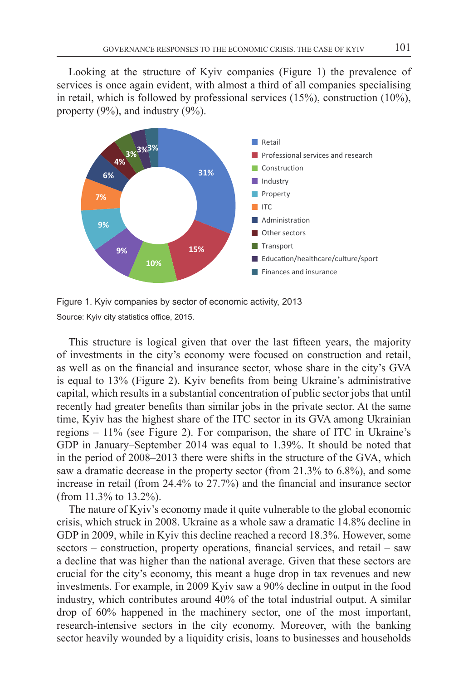Looking at the structure of Kyiv companies (Figure 1) the prevalence of services is once again evident, with almost a third of all companies specialising in retail, which is followed by professional services  $(15\%)$ , construction  $(10\%)$ , property (9%), and industry (9%).



Figure 1. Kyiv companies by sector of economic activity, 2013 Source: Kyiv city statistics office, 2015.

This structure is logical given that over the last fifteen years, the majority of investments in the city's economy were focused on construction and retail, as well as on the financial and insurance sector, whose share in the city's GVA is equal to 13% (Figure 2). Kyiv benefits from being Ukraine's administrative capital, which results in a substantial concentration of public sector jobs that until recently had greater benefits than similar jobs in the private sector. At the same time, Kyiv has the highest share of the ITC sector in its GVA among Ukrainian regions – 11% (see Figure 2). For comparison, the share of ITC in Ukraine's GDP in January–September 2014 was equal to 1.39%. It should be noted that in the period of 2008–2013 there were shifts in the structure of the GVA, which saw a dramatic decrease in the property sector (from 21.3% to 6.8%), and some increase in retail (from 24.4% to 27.7%) and the financial and insurance sector (from 11.3% to 13.2%).

The nature of Kyiv's economy made it quite vulnerable to the global economic crisis, which struck in 2008. Ukraine as a whole saw a dramatic 14.8% decline in GDP in 2009, while in Kyiv this decline reached a record 18.3%. However, some sectors – construction, property operations, financial services, and retail – saw a decline that was higher than the national average. Given that these sectors are crucial for the city's economy, this meant a huge drop in tax revenues and new investments. For example, in 2009 Kyiv saw a 90% decline in output in the food industry, which contributes around 40% of the total industrial output. A similar drop of 60% happened in the machinery sector, one of the most important, research-intensive sectors in the city economy. Moreover, with the banking sector heavily wounded by a liquidity crisis, loans to businesses and households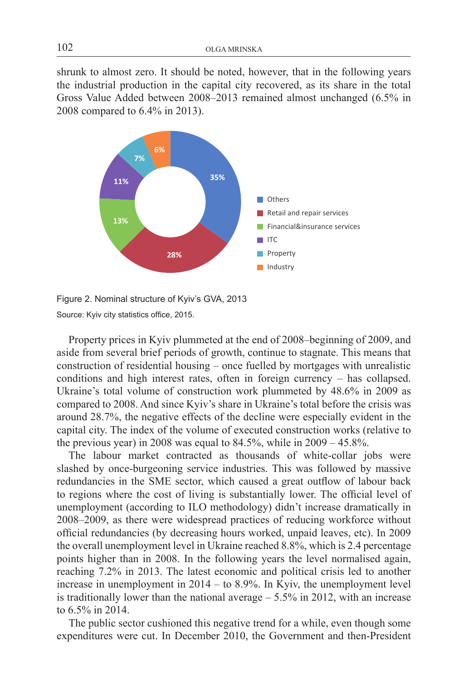shrunk to almost zero. It should be noted, however, that in the following years the industrial production in the capital city recovered, as its share in the total Gross Value Added between 2008–2013 remained almost unchanged (6.5% in 2008 compared to 6.4% in 2013).



Figure 2. Nominal structure of Kyiv's GVA, 2013 Source: Kyiv city statistics office, 2015.

Property prices in Kyiv plummeted at the end of 2008–beginning of 2009, and aside from several brief periods of growth, continue to stagnate. This means that construction of residential housing – once fuelled by mortgages with unrealistic conditions and high interest rates, often in foreign currency – has collapsed. Ukraine's total volume of construction work plummeted by 48.6% in 2009 as compared to 2008. And since Kyiv's share in Ukraine's total before the crisis was around 28.7%, the negative effects of the decline were especially evident in the capital city. The index of the volume of executed construction works (relative to the previous year) in 2008 was equal to  $84.5\%$ , while in  $2009 - 45.8\%$ .

The labour market contracted as thousands of white-collar jobs were slashed by once-burgeoning service industries. This was followed by massive redundancies in the SME sector, which caused a great outflow of labour back to regions where the cost of living is substantially lower. The official level of unemployment (according to ILO methodology) didn't increase dramatically in 2008–2009, as there were widespread practices of reducing workforce without official redundancies (by decreasing hours worked, unpaid leaves, etc). In 2009 the overall unemployment level in Ukraine reached 8.8%, which is 2.4 percentage points higher than in 2008. In the following years the level normalised again, reaching 7.2% in 2013. The latest economic and political crisis led to another increase in unemployment in 2014 – to 8.9%. In Kyiv, the unemployment level is traditionally lower than the national average – 5.5% in 2012, with an increase to 6.5% in 2014.

The public sector cushioned this negative trend for a while, even though some expenditures were cut. In December 2010, the Government and then-President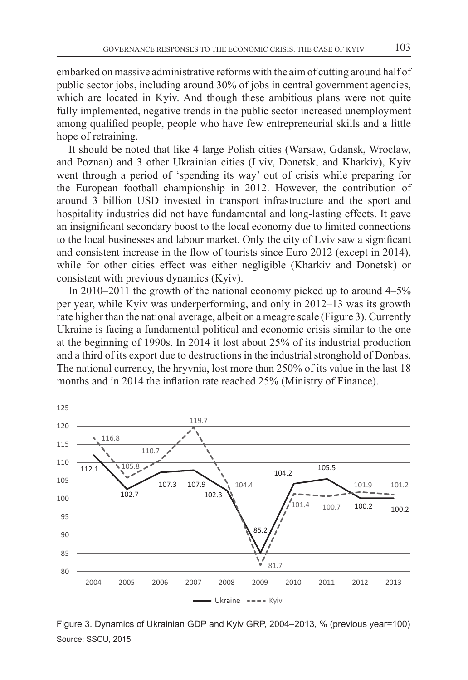embarked on massive administrative reforms with the aim of cutting around half of public sector jobs, including around 30% of jobs in central government agencies, which are located in Kyiy. And though these ambitious plans were not quite fully implemented, negative trends in the public sector increased unemployment among qualified people, people who have few entrepreneurial skills and a little hope of retraining.

It should be noted that like 4 large Polish cities (Warsaw, Gdansk, Wroclaw, and Poznan) and 3 other Ukrainian cities (Lviv, Donetsk, and Kharkiv), Kyiv went through a period of 'spending its way' out of crisis while preparing for the European football championship in 2012. However, the contribution of around 3 billion USD invested in transport infrastructure and the sport and hospitality industries did not have fundamental and long-lasting effects. It gave an insignificant secondary boost to the local economy due to limited connections to the local businesses and labour market. Only the city of Lviv saw a significant and consistent increase in the flow of tourists since Euro 2012 (except in 2014), while for other cities effect was either negligible (Kharkiv and Donetsk) or consistent with previous dynamics (Kyiv).

In 2010–2011 the growth of the national economy picked up to around 4–5% per year, while Kyiv was underperforming, and only in 2012–13 was its growth rate higher than the national average, albeit on a meagre scale (Figure 3). Currently Ukraine is facing a fundamental political and economic crisis similar to the one at the beginning of 1990s. In 2014 it lost about 25% of its industrial production and a third of its export due to destructions in the industrial stronghold of Donbas. The national currency, the hryvnia, lost more than 250% of its value in the last 18 months and in 2014 the inflation rate reached 25% (Ministry of Finance).



Figure 3. Dynamics of Ukrainian GDP and Kyiv GRP, 2004–2013, % (previous year=100) Source: SSCU, 2015.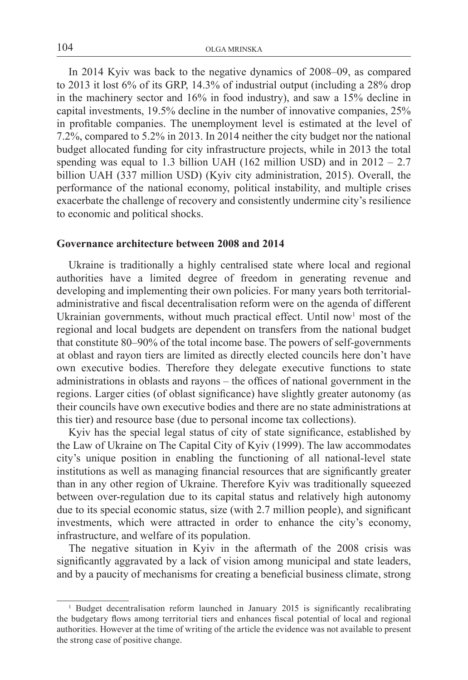In 2014 Kyiv was back to the negative dynamics of 2008–09, as compared to 2013 it lost 6% of its GRP, 14.3% of industrial output (including a 28% drop in the machinery sector and 16% in food industry), and saw a 15% decline in capital investments, 19.5% decline in the number of innovative companies, 25% in profitable companies. The unemployment level is estimated at the level of 7.2%, compared to 5.2% in 2013. In 2014 neither the city budget nor the national budget allocated funding for city infrastructure projects, while in 2013 the total spending was equal to 1.3 billion UAH (162 million USD) and in  $2012 - 2.7$ billion UAH (337 million USD) (Kyiv city administration, 2015). Overall, the performance of the national economy, political instability, and multiple crises exacerbate the challenge of recovery and consistently undermine city's resilience to economic and political shocks.

### **Governance architecture between 2008 and 2014**

Ukraine is traditionally a highly centralised state where local and regional authorities have a limited degree of freedom in generating revenue and developing and implementing their own policies. For many years both territorialadministrative and fiscal decentralisation reform were on the agenda of different Ukrainian governments, without much practical effect. Until now<sup>1</sup> most of the regional and local budgets are dependent on transfers from the national budget that constitute 80–90% of the total income base. The powers of self-governments at oblast and rayon tiers are limited as directly elected councils here don't have own executive bodies. Therefore they delegate executive functions to state administrations in oblasts and rayons – the offices of national government in the regions. Larger cities (of oblast significance) have slightly greater autonomy (as their councils have own executive bodies and there are no state administrations at this tier) and resource base (due to personal income tax collections).

Kyiv has the special legal status of city of state significance, established by the Law of Ukraine on The Capital City of Kyiv (1999). The law accommodates city's unique position in enabling the functioning of all national-level state institutions as well as managing financial resources that are significantly greater than in any other region of Ukraine. Therefore Kyiv was traditionally squeezed between over-regulation due to its capital status and relatively high autonomy due to its special economic status, size (with 2.7 million people), and significant investments, which were attracted in order to enhance the city's economy, infrastructure, and welfare of its population.

The negative situation in Kyiv in the aftermath of the 2008 crisis was significantly aggravated by a lack of vision among municipal and state leaders, and by a paucity of mechanisms for creating a beneficial business climate, strong

<sup>&</sup>lt;sup>1</sup> Budget decentralisation reform launched in January 2015 is significantly recalibrating the budgetary flows among territorial tiers and enhances fiscal potential of local and regional authorities. However at the time of writing of the article the evidence was not available to present the strong case of positive change.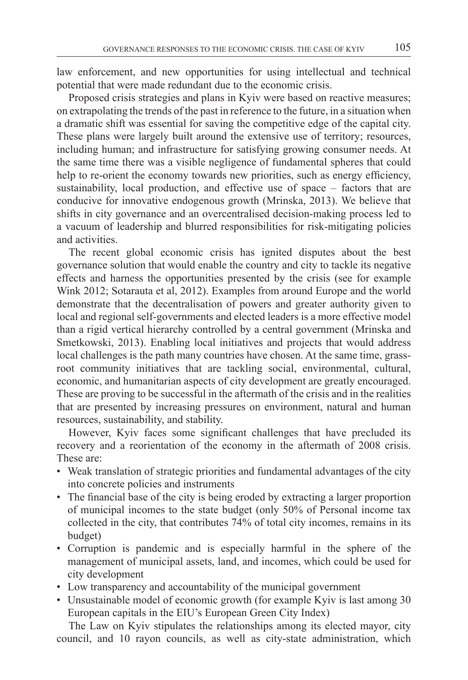law enforcement, and new opportunities for using intellectual and technical potential that were made redundant due to the economic crisis.

Proposed crisis strategies and plans in Kyiv were based on reactive measures; on extrapolating the trends of the past in reference to the future, in a situation when a dramatic shift was essential for saving the competitive edge of the capital city. These plans were largely built around the extensive use of territory; resources, including human; and infrastructure for satisfying growing consumer needs. At the same time there was a visible negligence of fundamental spheres that could help to re-orient the economy towards new priorities, such as energy efficiency, sustainability, local production, and effective use of space – factors that are conducive for innovative endogenous growth (Mrinska, 2013). We believe that shifts in city governance and an overcentralised decision-making process led to a vacuum of leadership and blurred responsibilities for risk-mitigating policies and activities.

The recent global economic crisis has ignited disputes about the best governance solution that would enable the country and city to tackle its negative effects and harness the opportunities presented by the crisis (see for example Wink 2012; Sotarauta et al, 2012). Examples from around Europe and the world demonstrate that the decentralisation of powers and greater authority given to local and regional self-governments and elected leaders is a more effective model than a rigid vertical hierarchy controlled by a central government (Mrinska and Smetkowski, 2013). Enabling local initiatives and projects that would address local challenges is the path many countries have chosen. At the same time, grassroot community initiatives that are tackling social, environmental, cultural, economic, and humanitarian aspects of city development are greatly encouraged. These are proving to be successful in the aftermath of the crisis and in the realities that are presented by increasing pressures on environment, natural and human resources, sustainability, and stability.

However, Kyiv faces some significant challenges that have precluded its recovery and a reorientation of the economy in the aftermath of 2008 crisis. These are:

- Weak translation of strategic priorities and fundamental advantages of the city into concrete policies and instruments
- The financial base of the city is being eroded by extracting a larger proportion of municipal incomes to the state budget (only 50% of Personal income tax collected in the city, that contributes 74% of total city incomes, remains in its budget)
- • Corruption is pandemic and is especially harmful in the sphere of the management of municipal assets, land, and incomes, which could be used for city development
- Low transparency and accountability of the municipal government
- Unsustainable model of economic growth (for example Kyiv is last among 30 European capitals in the EIU's European Green City Index)

The Law on Kyiv stipulates the relationships among its elected mayor, city council, and 10 rayon councils, as well as city-state administration, which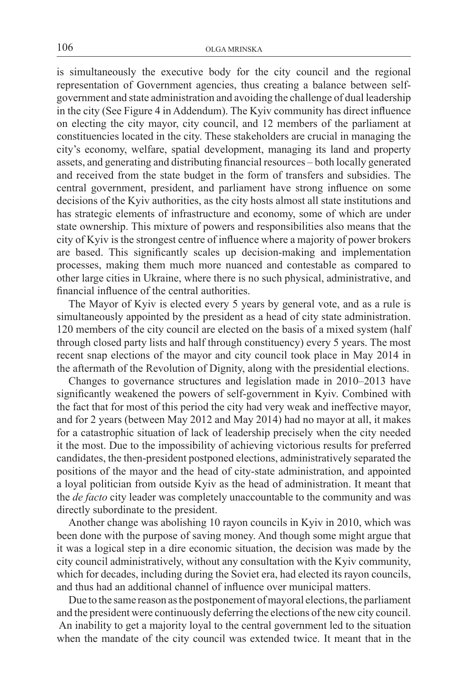is simultaneously the executive body for the city council and the regional representation of Government agencies, thus creating a balance between selfgovernment and state administration and avoiding the challenge of dual leadership in the city (See Figure 4 in Addendum). The Kyiv community has direct influence on electing the city mayor, city council, and 12 members of the parliament at constituencies located in the city. These stakeholders are crucial in managing the city's economy, welfare, spatial development, managing its land and property assets, and generating and distributing financial resources – both locally generated and received from the state budget in the form of transfers and subsidies. The central government, president, and parliament have strong influence on some decisions of the Kyiv authorities, as the city hosts almost all state institutions and has strategic elements of infrastructure and economy, some of which are under state ownership. This mixture of powers and responsibilities also means that the city of Kyiv is the strongest centre of influence where a majority of power brokers are based. This significantly scales up decision-making and implementation processes, making them much more nuanced and contestable as compared to other large cities in Ukraine, where there is no such physical, administrative, and financial influence of the central authorities.

The Mayor of Kyiv is elected every 5 years by general vote, and as a rule is simultaneously appointed by the president as a head of city state administration. 120 members of the city council are elected on the basis of a mixed system (half through closed party lists and half through constituency) every 5 years. The most recent snap elections of the mayor and city council took place in May 2014 in the aftermath of the Revolution of Dignity, along with the presidential elections.

Changes to governance structures and legislation made in 2010–2013 have significantly weakened the powers of self-government in Kyiv. Combined with the fact that for most of this period the city had very weak and ineffective mayor, and for 2 years (between May 2012 and May 2014) had no mayor at all, it makes for a catastrophic situation of lack of leadership precisely when the city needed it the most. Due to the impossibility of achieving victorious results for preferred candidates, the then-president postponed elections, administratively separated the positions of the mayor and the head of city-state administration, and appointed a loyal politician from outside Kyiv as the head of administration. It meant that the *de facto* city leader was completely unaccountable to the community and was directly subordinate to the president.

Another change was abolishing 10 rayon councils in Kyiv in 2010, which was been done with the purpose of saving money. And though some might argue that it was a logical step in a dire economic situation, the decision was made by the city council administratively, without any consultation with the Kyiv community, which for decades, including during the Soviet era, had elected its rayon councils, and thus had an additional channel of influence over municipal matters.

Due to the same reason as the postponement of mayoral elections, the parliament and the president were continuously deferring the elections ofthe new city council. An inability to get a majority loyal to the central government led to the situation when the mandate of the city council was extended twice. It meant that in the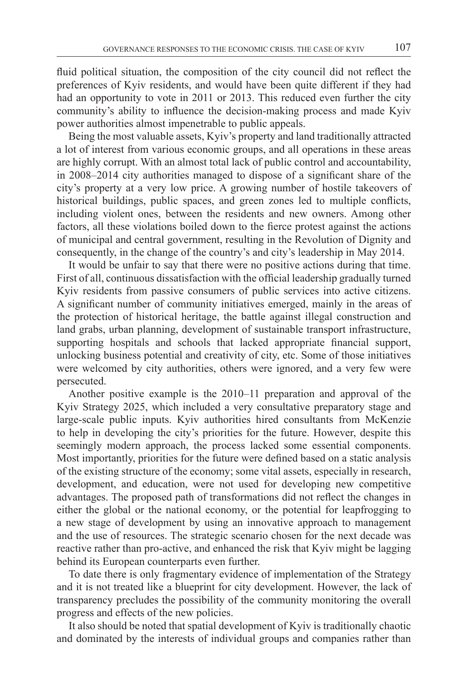fluid political situation, the composition of the city council did not reflect the preferences of Kyiv residents, and would have been quite different if they had had an opportunity to vote in 2011 or 2013. This reduced even further the city community's ability to influence the decision-making process and made Kyiv power authorities almost impenetrable to public appeals.

Being the most valuable assets, Kyiv's property and land traditionally attracted a lot of interest from various economic groups, and all operations in these areas are highly corrupt. With an almost total lack of public control and accountability, in 2008–2014 city authorities managed to dispose of a significant share of the city's property at a very low price. A growing number of hostile takeovers of historical buildings, public spaces, and green zones led to multiple conflicts, including violent ones, between the residents and new owners. Among other factors, all these violations boiled down to the fierce protest against the actions of municipal and central government, resulting in the Revolution of Dignity and consequently, in the change of the country's and city's leadership in May 2014.

It would be unfair to say that there were no positive actions during that time. First of all, continuous dissatisfaction with the official leadership gradually turned Kyiv residents from passive consumers of public services into active citizens. A significant number of community initiatives emerged, mainly in the areas of the protection of historical heritage, the battle against illegal construction and land grabs, urban planning, development of sustainable transport infrastructure, supporting hospitals and schools that lacked appropriate financial support, unlocking business potential and creativity of city, etc. Some of those initiatives were welcomed by city authorities, others were ignored, and a very few were persecuted.

Another positive example is the 2010–11 preparation and approval of the Kyiv Strategy 2025, which included a very consultative preparatory stage and large-scale public inputs. Kyiv authorities hired consultants from McKenzie to help in developing the city's priorities for the future. However, despite this seemingly modern approach, the process lacked some essential components. Most importantly, priorities for the future were defined based on a static analysis of the existing structure of the economy; some vital assets, especially in research, development, and education, were not used for developing new competitive advantages. The proposed path of transformations did not reflect the changes in either the global or the national economy, or the potential for leapfrogging to a new stage of development by using an innovative approach to management and the use of resources. The strategic scenario chosen for the next decade was reactive rather than pro-active, and enhanced the risk that Kyiv might be lagging behind its European counterparts even further.

To date there is only fragmentary evidence of implementation of the Strategy and it is not treated like a blueprint for city development. However, the lack of transparency precludes the possibility of the community monitoring the overall progress and effects of the new policies.

It also should be noted that spatial development of Kyiv is traditionally chaotic and dominated by the interests of individual groups and companies rather than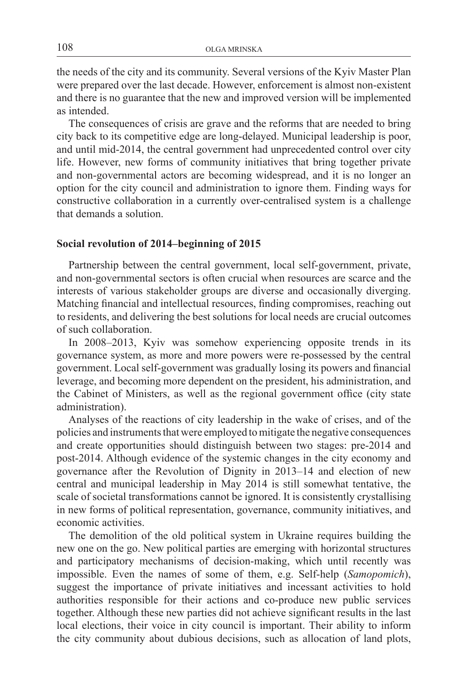the needs of the city and its community. Several versions of the Kyiv Master Plan were prepared over the last decade. However, enforcement is almost non-existent and there is no guarantee that the new and improved version will be implemented as intended.

The consequences of crisis are grave and the reforms that are needed to bring city back to its competitive edge are long-delayed. Municipal leadership is poor, and until mid-2014, the central government had unprecedented control over city life. However, new forms of community initiatives that bring together private and non-governmental actors are becoming widespread, and it is no longer an option for the city council and administration to ignore them. Finding ways for constructive collaboration in a currently over-centralised system is a challenge that demands a solution.

#### **Social revolution of 2014–beginning of 2015**

Partnership between the central government, local self-government, private, and non-governmental sectors is often crucial when resources are scarce and the interests of various stakeholder groups are diverse and occasionally diverging. Matching financial and intellectual resources, finding compromises, reaching out to residents, and delivering the best solutions for local needs are crucial outcomes of such collaboration.

In 2008–2013, Kyiv was somehow experiencing opposite trends in its governance system, as more and more powers were re-possessed by the central government. Local self-government was gradually losing its powers and financial leverage, and becoming more dependent on the president, his administration, and the Cabinet of Ministers, as well as the regional government office (city state administration).

Analyses of the reactions of city leadership in the wake of crises, and of the policies and instruments that were employed to mitigate the negative consequences and create opportunities should distinguish between two stages: pre-2014 and post-2014. Although evidence of the systemic changes in the city economy and governance after the Revolution of Dignity in 2013–14 and election of new central and municipal leadership in May 2014 is still somewhat tentative, the scale of societal transformations cannot be ignored. It is consistently crystallising in new forms of political representation, governance, community initiatives, and economic activities.

The demolition of the old political system in Ukraine requires building the new one on the go. New political parties are emerging with horizontal structures and participatory mechanisms of decision-making, which until recently was impossible. Even the names of some of them, e.g. Self-help (*Samopomich*), suggest the importance of private initiatives and incessant activities to hold authorities responsible for their actions and co-produce new public services together. Although these new parties did not achieve significant results in the last local elections, their voice in city council is important. Their ability to inform the city community about dubious decisions, such as allocation of land plots,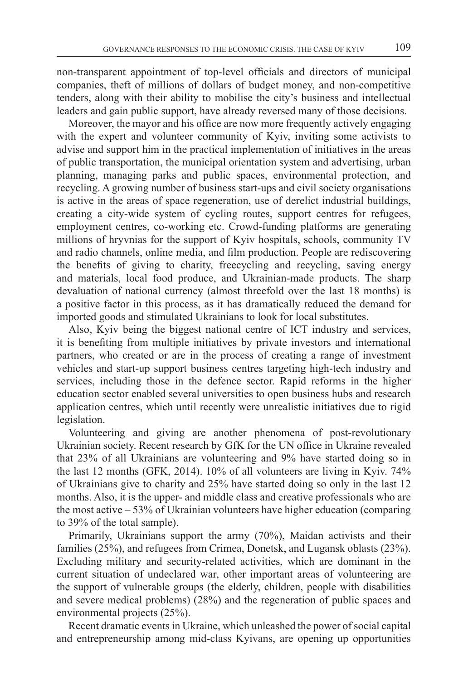non-transparent appointment of top-level officials and directors of municipal companies, theft of millions of dollars of budget money, and non-competitive tenders, along with their ability to mobilise the city's business and intellectual leaders and gain public support, have already reversed many of those decisions.

Moreover, the mayor and his office are now more frequently actively engaging with the expert and volunteer community of Kyiv, inviting some activists to advise and support him in the practical implementation of initiatives in the areas of public transportation, the municipal orientation system and advertising, urban planning, managing parks and public spaces, environmental protection, and recycling. A growing number of business start-ups and civil society organisations is active in the areas of space regeneration, use of derelict industrial buildings, creating a city-wide system of cycling routes, support centres for refugees, employment centres, co-working etc. Crowd-funding platforms are generating millions of hryvnias for the support of Kyiv hospitals, schools, community TV and radio channels, online media, and film production. People are rediscovering the benefits of giving to charity, freecycling and recycling, saving energy and materials, local food produce, and Ukrainian-made products. The sharp devaluation of national currency (almost threefold over the last 18 months) is a positive factor in this process, as it has dramatically reduced the demand for imported goods and stimulated Ukrainians to look for local substitutes.

Also, Kyiv being the biggest national centre of ICT industry and services, it is benefiting from multiple initiatives by private investors and international partners, who created or are in the process of creating a range of investment vehicles and start-up support business centres targeting high-tech industry and services, including those in the defence sector. Rapid reforms in the higher education sector enabled several universities to open business hubs and research application centres, which until recently were unrealistic initiatives due to rigid legislation.

Volunteering and giving are another phenomena of post-revolutionary Ukrainian society. Recent research by GfK for the UN office in Ukraine revealed that 23% of all Ukrainians are volunteering and 9% have started doing so in the last 12 months (GFK, 2014). 10% of all volunteers are living in Kyiv. 74% of Ukrainians give to charity and 25% have started doing so only in the last 12 months. Also, it is the upper- and middle class and creative professionals who are the most active – 53% of Ukrainian volunteers have higher education (comparing to 39% of the total sample).

Primarily, Ukrainians support the army (70%), Maidan activists and their families (25%), and refugees from Crimea, Donetsk, and Lugansk oblasts (23%). Excluding military and security-related activities, which are dominant in the current situation of undeclared war, other important areas of volunteering are the support of vulnerable groups (the elderly, children, people with disabilities and severe medical problems) (28%) and the regeneration of public spaces and environmental projects (25%).

Recent dramatic events in Ukraine, which unleashed the power of social capital and entrepreneurship among mid-class Kyivans, are opening up opportunities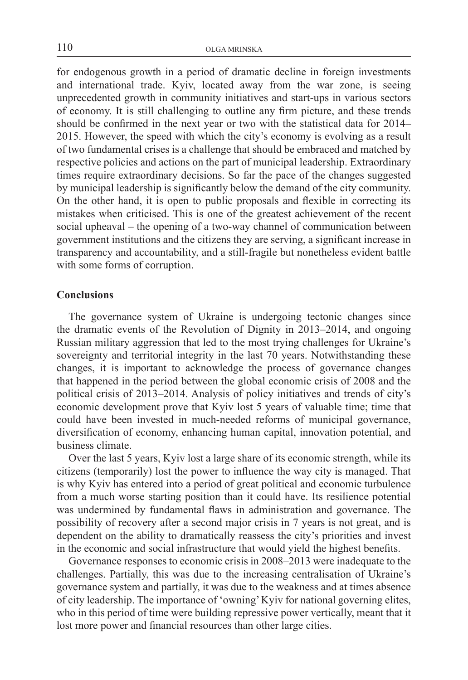for endogenous growth in a period of dramatic decline in foreign investments and international trade. Kyiv, located away from the war zone, is seeing unprecedented growth in community initiatives and start-ups in various sectors of economy. It is still challenging to outline any firm picture, and these trends should be confirmed in the next year or two with the statistical data for 2014– 2015. However, the speed with which the city's economy is evolving as a result of two fundamental crises is a challenge that should be embraced and matched by respective policies and actions on the part of municipal leadership. Extraordinary times require extraordinary decisions. So far the pace of the changes suggested by municipal leadership is significantly below the demand of the city community. On the other hand, it is open to public proposals and flexible in correcting its mistakes when criticised. This is one of the greatest achievement of the recent social upheaval – the opening of a two-way channel of communication between government institutions and the citizens they are serving, a significant increase in transparency and accountability, and a still-fragile but nonetheless evident battle with some forms of corruption.

## **Conclusions**

The governance system of Ukraine is undergoing tectonic changes since the dramatic events of the Revolution of Dignity in 2013–2014, and ongoing Russian military aggression that led to the most trying challenges for Ukraine's sovereignty and territorial integrity in the last 70 years. Notwithstanding these changes, it is important to acknowledge the process of governance changes that happened in the period between the global economic crisis of 2008 and the political crisis of 2013–2014. Analysis of policy initiatives and trends of city's economic development prove that Kyiv lost 5 years of valuable time; time that could have been invested in much-needed reforms of municipal governance, diversification of economy, enhancing human capital, innovation potential, and business climate.

Over the last 5 years, Kyiv lost a large share of its economic strength, while its citizens (temporarily) lost the power to influence the way city is managed. That is why Kyiv has entered into a period of great political and economic turbulence from a much worse starting position than it could have. Its resilience potential was undermined by fundamental flaws in administration and governance. The possibility of recovery after a second major crisis in 7 years is not great, and is dependent on the ability to dramatically reassess the city's priorities and invest in the economic and social infrastructure that would yield the highest benefits.

Governance responses to economic crisis in 2008–2013 were inadequate to the challenges. Partially, this was due to the increasing centralisation of Ukraine's governance system and partially, it was due to the weakness and at times absence of city leadership. The importance of 'owning'Kyiv for national governing elites, who in this period of time were building repressive power vertically, meant that it lost more power and financial resources than other large cities.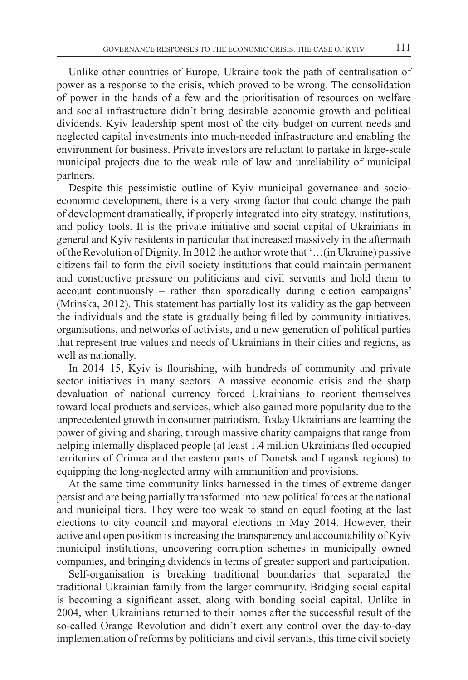Unlike other countries of Europe, Ukraine took the path of centralisation of power as a response to the crisis, which proved to be wrong. The consolidation of power in the hands of a few and the prioritisation of resources on welfare and social infrastructure didn't bring desirable economic growth and political dividends. Kyiv leadership spent most of the city budget on current needs and neglected capital investments into much-needed infrastructure and enabling the environment for business. Private investors are reluctant to partake in large-scale municipal projects due to the weak rule of law and unreliability of municipal partners.

Despite this pessimistic outline of Kyiv municipal governance and socioeconomic development, there is a very strong factor that could change the path of development dramatically, if properly integrated into city strategy, institutions, and policy tools. It is the private initiative and social capital of Ukrainians in general and Kyiv residents in particular that increased massively in the aftermath of the Revolution of Dignity. In 2012 the author wrote that '…(in Ukraine) passive citizens fail to form the civil society institutions that could maintain permanent and constructive pressure on politicians and civil servants and hold them to account continuously – rather than sporadically during election campaigns' (Mrinska, 2012). This statement has partially lost its validity as the gap between the individuals and the state is gradually being filled by community initiatives, organisations, and networks of activists, and a new generation of political parties that represent true values and needs of Ukrainians in their cities and regions, as well as nationally.

In 2014–15, Kyiv is flourishing, with hundreds of community and private sector initiatives in many sectors. A massive economic crisis and the sharp devaluation of national currency forced Ukrainians to reorient themselves toward local products and services, which also gained more popularity due to the unprecedented growth in consumer patriotism. Today Ukrainians are learning the power of giving and sharing, through massive charity campaigns that range from helping internally displaced people (at least 1.4 million Ukrainians fled occupied territories of Crimea and the eastern parts of Donetsk and Lugansk regions) to equipping the long-neglected army with ammunition and provisions.

At the same time community links harnessed in the times of extreme danger persist and are being partially transformed into new political forces at the national and municipal tiers. They were too weak to stand on equal footing at the last elections to city council and mayoral elections in May 2014. However, their active and open position is increasing the transparency and accountability of Kyiv municipal institutions, uncovering corruption schemes in municipally owned companies, and bringing dividends in terms of greater support and participation.

Self-organisation is breaking traditional boundaries that separated the traditional Ukrainian family from the larger community. Bridging social capital is becoming a significant asset, along with bonding social capital. Unlike in 2004, when Ukrainians returned to their homes after the successful result of the so-called Orange Revolution and didn't exert any control over the day-to-day implementation of reforms by politicians and civil servants, this time civil society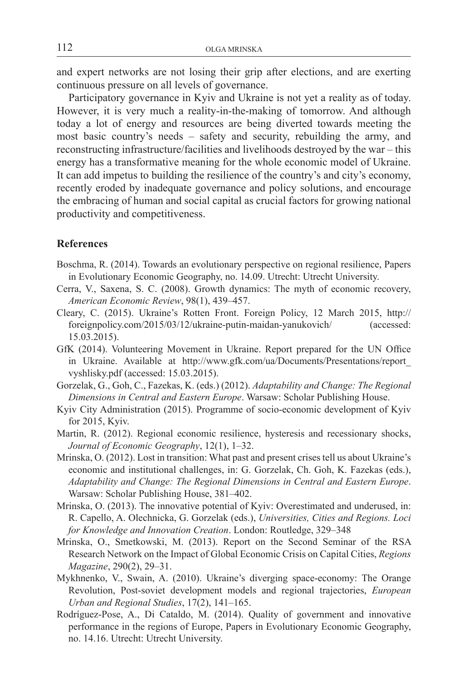and expert networks are not losing their grip after elections, and are exerting continuous pressure on all levels of governance.

Participatory governance in Kyiv and Ukraine is not yet a reality as of today. However, it is very much a reality-in-the-making of tomorrow. And although today a lot of energy and resources are being diverted towards meeting the most basic country's needs – safety and security, rebuilding the army, and reconstructing infrastructure/facilities and livelihoods destroyed by the war – this energy has a transformative meaning for the whole economic model of Ukraine. It can add impetus to building the resilience of the country's and city's economy, recently eroded by inadequate governance and policy solutions, and encourage the embracing of human and social capital as crucial factors for growing national productivity and competitiveness.

#### **References**

- Boschma, R. (2014). Towards an evolutionary perspective on regional resilience, Papers in Evolutionary Economic Geography, no. 14.09. Utrecht: Utrecht University.
- Cerra, V., Saxena, S. C. (2008). Growth dynamics: The myth of economic recovery, *American Economic Review*, 98(1), 439–457.
- Cleary, C. (2015). Ukraine's Rotten Front. Foreign Policy, 12 March 2015, http:// foreignpolicy.com/2015/03/12/ukraine-putin-maidan-yanukovich/ (accessed: 15.03.2015).
- GfK (2014). Volunteering Movement in Ukraine. Report prepared for the UN Office in Ukraine. Available at http://www.gfk.com/ua/Documents/Presentations/report\_ vyshlisky.pdf (accessed: 15.03.2015).
- Gorzelak, G., Goh, C., Fazekas, K. (eds.) (2012). *Adaptability and Change: The Regional Dimensions in Central and Eastern Europe*. Warsaw: Scholar Publishing House.
- Kyiv City Administration (2015). Programme of socio-economic development of Kyiv for 2015, Kyiv.
- Martin, R. (2012). Regional economic resilience, hysteresis and recessionary shocks, *Journal of Economic Geography*, 12(1), 1–32.
- Mrinska, O. (2012). Lost in transition: What past and present crises tell us about Ukraine's economic and institutional challenges, in: G. Gorzelak, Ch. Goh, K. Fazekas (eds.), *Adaptability and Change: The Regional Dimensions in Central and Eastern Europe*. Warsaw: Scholar Publishing House, 381–402.
- Mrinska, O. (2013). The innovative potential of Kyiv: Overestimated and underused, in: R. Capello, A. Olechnicka, G. Gorzelak (eds.), *Universities, Cities and Regions. Loci for Knowledge and Innovation Creation*. London: Routledge, 329–348
- Mrinska, O., Smetkowski, M. (2013). Report on the Second Seminar of the RSA Research Network on the Impact of Global Economic Crisis on Capital Cities, *Regions Magazine*, 290(2), 29–31.
- Mykhnenko, V., Swain, A. (2010). Ukraine's diverging space-economy: The Orange Revolution, Post-soviet development models and regional trajectories, *European Urban and Regional Studies*, 17(2), 141–165.
- Rodríguez-Pose, A., Di Cataldo, M. (2014). Quality of government and innovative performance in the regions of Europe, Papers in Evolutionary Economic Geography, no. 14.16. Utrecht: Utrecht University.